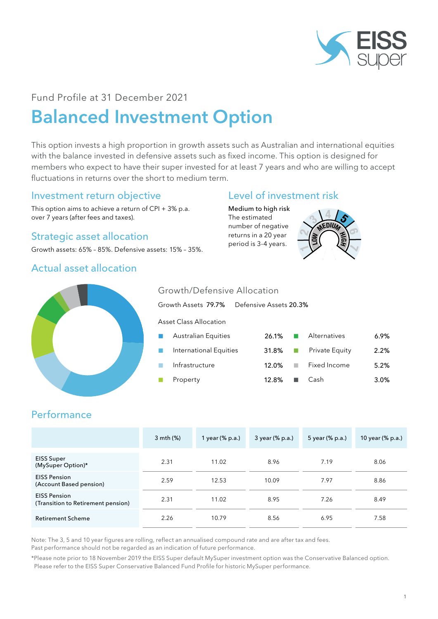

# Fund Profile at 31 December 2021 Balanced Investment Option

This option invests a high proportion in growth assets such as Australian and international equities with the balance invested in defensive assets such as fixed income. This option is designed for members who expect to have their super invested for at least 7 years and who are willing to accept fluctuations in returns over the short to medium term.

#### Investment return objective

This option aims to achieve a return of CPI + 3% p.a. over 7 years (after fees and taxes).

### Strategic asset allocation

Growth assets: 65% – 85%. Defensive assets: 15% – 35%.

#### Actual asset allocation

## Level of investment risk

Medium to high risk The estimated number of negative returns in a 20 year period is 3-4 years.





#### Growth/Defensive Allocation

Growth Assets 79.7% Defensive Assets 20.3%

Asset Class Allocation

| $\sim$         | Australian Equities    | 26.1%        |   | Alternatives   | $6.9\%$ |
|----------------|------------------------|--------------|---|----------------|---------|
| a an           | International Equities | 31.8% $\Box$ |   | Private Equity | 2.2%    |
| <b>College</b> | Infrastructure         | $12.0\%$     |   | Fixed Income   | 5.2%    |
| <b>COL</b>     | Property               | 12.8%        | ٠ | Cash           | 3.0%    |

## **Performance**

|                                                           | 3 mth (%) | 1 year (% p.a.) | 3 year (% p.a.) | 5 year (% p.a.) | 10 year (% p.a.) |
|-----------------------------------------------------------|-----------|-----------------|-----------------|-----------------|------------------|
| <b>EISS Super</b><br>(MySuper Option)*                    | 2.31      | 11.02           | 8.96            | 7.19            | 8.06             |
| <b>EISS Pension</b><br>(Account Based pension)            | 2.59      | 12.53           | 10.09           | 7.97            | 8.86             |
| <b>EISS Pension</b><br>(Transition to Retirement pension) | 2.31      | 11.02           | 8.95            | 7.26            | 8.49             |
| <b>Retirement Scheme</b>                                  | 2.26      | 10.79           | 8.56            | 6.95            | 7.58             |

Note: The 3, 5 and 10 year figures are rolling, reflect an annualised compound rate and are after tax and fees.

Past performance should not be regarded as an indication of future performance.

\*Please note prior to 18 November 2019 the EISS Super default MySuper investment option was the Conservative Balanced option. Please refer to the EISS Super Conservative Balanced Fund Profile for historic MySuper performance.